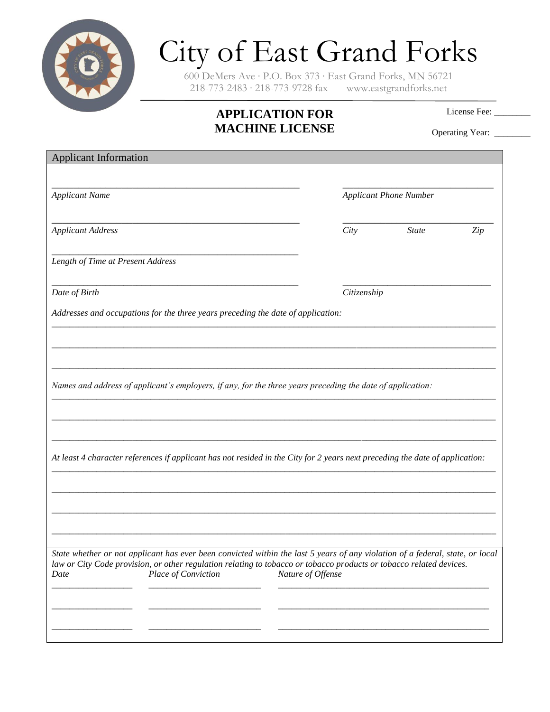

## City of East Grand Forks

600 DeMers Ave ∙ P.O. Box 373 ∙ East Grand Forks, MN 56721 218-773-2483 ∙ 218-773-9728 fax www.eastgrandforks.net

## **APPLICATION FOR MACHINE LICENSE**

License Fee:

Operating Year: \_\_\_\_\_\_\_

| <b>Applicant Information</b>                                                                                                  |                   |                               |     |
|-------------------------------------------------------------------------------------------------------------------------------|-------------------|-------------------------------|-----|
|                                                                                                                               |                   |                               |     |
| <b>Applicant Name</b>                                                                                                         |                   | <b>Applicant Phone Number</b> |     |
|                                                                                                                               |                   |                               |     |
| <b>Applicant Address</b>                                                                                                      | City              | <b>State</b>                  | Zip |
|                                                                                                                               |                   |                               |     |
| Length of Time at Present Address                                                                                             |                   |                               |     |
| Date of Birth                                                                                                                 | Citizenship       |                               |     |
| Addresses and occupations for the three years preceding the date of application:                                              |                   |                               |     |
|                                                                                                                               |                   |                               |     |
|                                                                                                                               |                   |                               |     |
|                                                                                                                               |                   |                               |     |
| Names and address of applicant's employers, if any, for the three years preceding the date of application:                    |                   |                               |     |
|                                                                                                                               |                   |                               |     |
|                                                                                                                               |                   |                               |     |
|                                                                                                                               |                   |                               |     |
| At least 4 character references if applicant has not resided in the City for 2 years next preceding the date of application:  |                   |                               |     |
|                                                                                                                               |                   |                               |     |
|                                                                                                                               |                   |                               |     |
|                                                                                                                               |                   |                               |     |
|                                                                                                                               |                   |                               |     |
| State whether or not applicant has ever been convicted within the last 5 years of any violation of a federal, state, or local |                   |                               |     |
| Place of Conviction<br>Date                                                                                                   | Nature of Offense |                               |     |
|                                                                                                                               |                   |                               |     |
|                                                                                                                               |                   |                               |     |
|                                                                                                                               |                   |                               |     |
| law or City Code provision, or other regulation relating to tobacco or tobacco products or tobacco related devices.           |                   |                               |     |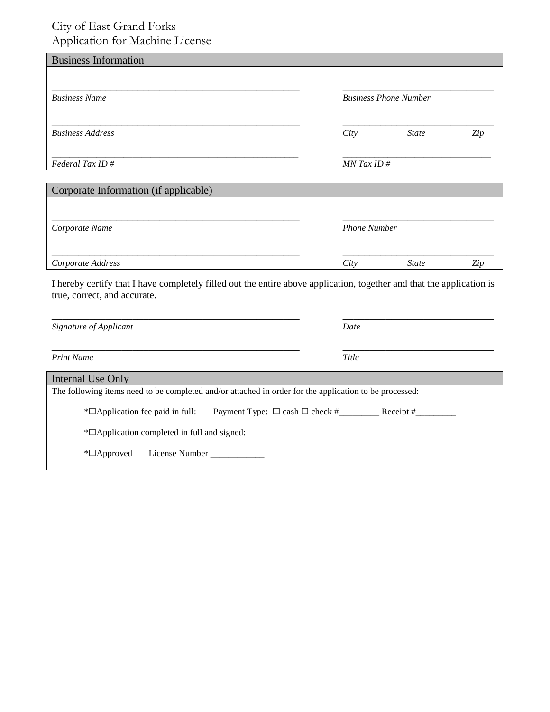## City of East Grand Forks Application for Machine License

| <b>Business Information</b>           |      |                              |     |
|---------------------------------------|------|------------------------------|-----|
| <b>Business Name</b>                  |      | <b>Business Phone Number</b> |     |
| <b>Business Address</b>               | City | <b>State</b>                 | Zip |
| Federal Tax ID#                       |      | $MN$ Tax ID #                |     |
| Corporate Information (if applicable) |      |                              |     |

| Corporate Name    |      | <b>Phone Number</b> |     |  |
|-------------------|------|---------------------|-----|--|
|                   |      |                     |     |  |
| Corporate Address | City | <i>State</i>        | Ziv |  |

I hereby certify that I have completely filled out the entire above application, together and that the application is true, correct, and accurate.

| Signature of Applicant                                                                                 | Date  |  |  |  |
|--------------------------------------------------------------------------------------------------------|-------|--|--|--|
| <b>Print Name</b>                                                                                      | Title |  |  |  |
| Internal Use Only                                                                                      |       |  |  |  |
| The following items need to be completed and/or attached in order for the application to be processed: |       |  |  |  |
| $\sqrt[*]{\text{Application}}$ fee paid in full:                                                       |       |  |  |  |
| *□Application completed in full and signed:                                                            |       |  |  |  |
| License Number<br>$\mathbb{Z}$ Approved                                                                |       |  |  |  |